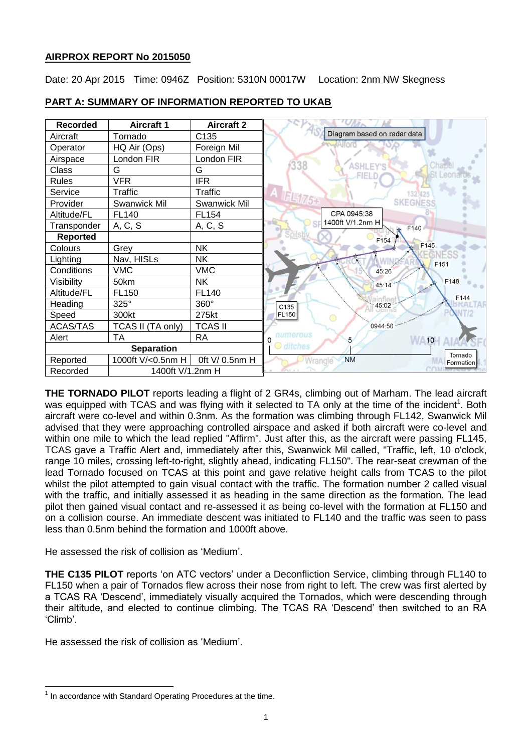# **AIRPROX REPORT No 2015050**

Date: 20 Apr 2015 Time: 0946Z Position: 5310N 00017W Location: 2nm NW Skegness



# **PART A: SUMMARY OF INFORMATION REPORTED TO UKAB**

**THE TORNADO PILOT** reports leading a flight of 2 GR4s, climbing out of Marham. The lead aircraft was equipped with TCAS and was flying with it selected to TA only at the time of the incident<sup>1</sup>. Both aircraft were co-level and within 0.3nm. As the formation was climbing through FL142, Swanwick Mil advised that they were approaching controlled airspace and asked if both aircraft were co-level and within one mile to which the lead replied "Affirm". Just after this, as the aircraft were passing FL145, TCAS gave a Traffic Alert and, immediately after this, Swanwick Mil called, "Traffic, left, 10 o'clock, range 10 miles, crossing left-to-right, slightly ahead, indicating FL150". The rear-seat crewman of the lead Tornado focused on TCAS at this point and gave relative height calls from TCAS to the pilot whilst the pilot attempted to gain visual contact with the traffic. The formation number 2 called visual with the traffic, and initially assessed it as heading in the same direction as the formation. The lead pilot then gained visual contact and re-assessed it as being co-level with the formation at FL150 and on a collision course. An immediate descent was initiated to FL140 and the traffic was seen to pass less than 0.5nm behind the formation and 1000ft above.

He assessed the risk of collision as 'Medium'.

**THE C135 PILOT** reports 'on ATC vectors' under a Deconfliction Service, climbing through FL140 to FL150 when a pair of Tornados flew across their nose from right to left. The crew was first alerted by a TCAS RA 'Descend', immediately visually acquired the Tornados, which were descending through their altitude, and elected to continue climbing. The TCAS RA 'Descend' then switched to an RA 'Climb'.

He assessed the risk of collision as 'Medium'.

 $\overline{a}$  $1$  In accordance with Standard Operating Procedures at the time.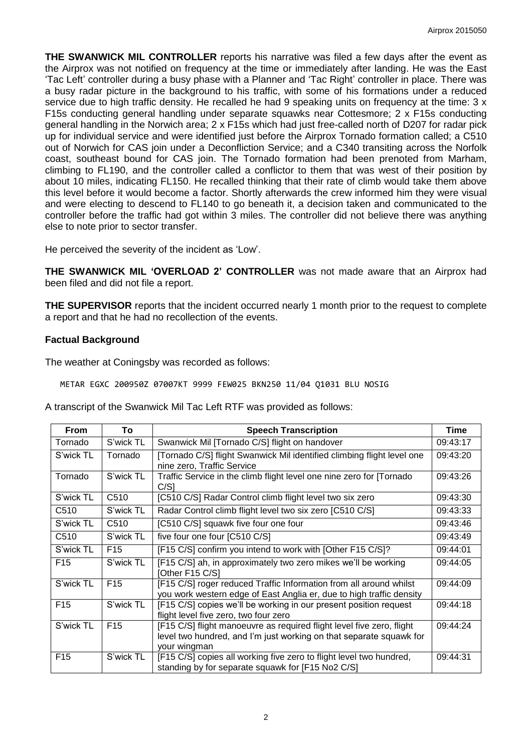**THE SWANWICK MIL CONTROLLER** reports his narrative was filed a few days after the event as the Airprox was not notified on frequency at the time or immediately after landing. He was the East 'Tac Left' controller during a busy phase with a Planner and 'Tac Right' controller in place. There was a busy radar picture in the background to his traffic, with some of his formations under a reduced service due to high traffic density. He recalled he had 9 speaking units on frequency at the time: 3 x F15s conducting general handling under separate squawks near Cottesmore; 2 x F15s conducting general handling in the Norwich area; 2 x F15s which had just free-called north of D207 for radar pick up for individual service and were identified just before the Airprox Tornado formation called; a C510 out of Norwich for CAS join under a Deconfliction Service; and a C340 transiting across the Norfolk coast, southeast bound for CAS join. The Tornado formation had been prenoted from Marham, climbing to FL190, and the controller called a conflictor to them that was west of their position by about 10 miles, indicating FL150. He recalled thinking that their rate of climb would take them above this level before it would become a factor. Shortly afterwards the crew informed him they were visual and were electing to descend to FL140 to go beneath it, a decision taken and communicated to the controller before the traffic had got within 3 miles. The controller did not believe there was anything else to note prior to sector transfer.

He perceived the severity of the incident as 'Low'.

**THE SWANWICK MIL 'OVERLOAD 2' CONTROLLER** was not made aware that an Airprox had been filed and did not file a report.

**THE SUPERVISOR** reports that the incident occurred nearly 1 month prior to the request to complete a report and that he had no recollection of the events.

#### **Factual Background**

The weather at Coningsby was recorded as follows:

METAR EGXC 200950Z 07007KT 9999 FEW025 BKN250 11/04 Q1031 BLU NOSIG

A transcript of the Swanwick Mil Tac Left RTF was provided as follows:

| <b>From</b>      | To               | <b>Speech Transcription</b>                                                                                                                                  | Time     |
|------------------|------------------|--------------------------------------------------------------------------------------------------------------------------------------------------------------|----------|
| Tornado          | S'wick TL        | Swanwick Mil [Tornado C/S] flight on handover                                                                                                                | 09:43:17 |
| S'wick TL        | Tornado          | [Tornado C/S] flight Swanwick Mil identified climbing flight level one<br>nine zero, Traffic Service                                                         | 09:43:20 |
| Tornado          | S'wick TL        | Traffic Service in the climb flight level one nine zero for [Tornado<br>C/S1                                                                                 | 09:43:26 |
| S'wick TL        | C <sub>510</sub> | [C510 C/S] Radar Control climb flight level two six zero                                                                                                     | 09:43:30 |
| C <sub>510</sub> | S'wick TL        | Radar Control climb flight level two six zero [C510 C/S]                                                                                                     | 09:43:33 |
| S'wick TL        | C <sub>510</sub> | [C510 C/S] squawk five four one four                                                                                                                         | 09:43:46 |
| C <sub>510</sub> | S'wick TL        | five four one four [C510 C/S]                                                                                                                                | 09:43:49 |
| S'wick TL        | F <sub>15</sub>  | [F15 C/S] confirm you intend to work with [Other F15 C/S]?                                                                                                   | 09:44:01 |
| F <sub>15</sub>  | S'wick TL        | [F15 C/S] ah, in approximately two zero mikes we'll be working<br>[Other F15 C/S]                                                                            | 09:44:05 |
| S'wick TL        | F <sub>15</sub>  | [F15 C/S] roger reduced Traffic Information from all around whilst<br>you work western edge of East Anglia er, due to high traffic density                   | 09:44:09 |
| F <sub>15</sub>  | S'wick TL        | [F15 C/S] copies we'll be working in our present position request<br>flight level five zero, two four zero                                                   | 09:44:18 |
| S'wick TL        | F <sub>15</sub>  | [F15 C/S] flight manoeuvre as required flight level five zero, flight<br>level two hundred, and I'm just working on that separate squawk for<br>your wingman | 09:44:24 |
| F <sub>15</sub>  | S'wick TL        | [F15 C/S] copies all working five zero to flight level two hundred,<br>standing by for separate squawk for [F15 No2 C/S]                                     | 09:44:31 |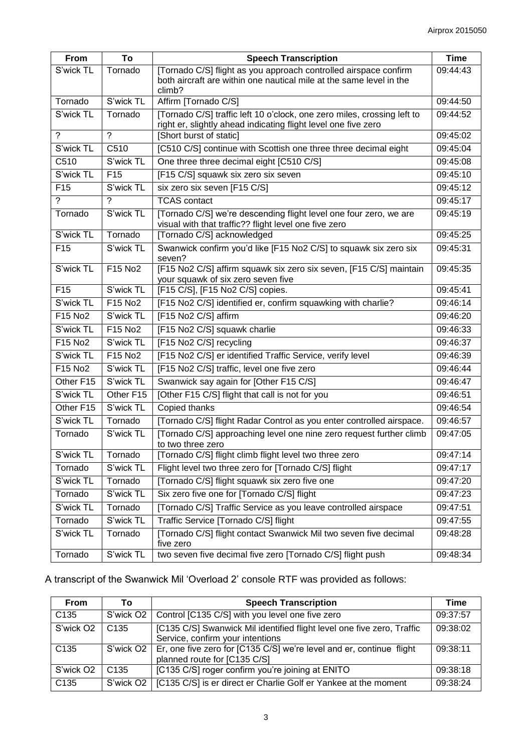| <b>From</b>     | To              | <b>Speech Transcription</b>                                                                                                                       | <b>Time</b> |
|-----------------|-----------------|---------------------------------------------------------------------------------------------------------------------------------------------------|-------------|
| S'wick TL       | Tornado         | [Tornado C/S] flight as you approach controlled airspace confirm<br>both aircraft are within one nautical mile at the same level in the<br>climb? | 09:44:43    |
| Tornado         | S'wick TL       | Affirm [Tornado C/S]                                                                                                                              | 09:44:50    |
| S'wick TL       | Tornado         | [Tornado C/S] traffic left 10 o'clock, one zero miles, crossing left to<br>right er, slightly ahead indicating flight level one five zero         | 09:44:52    |
| $\gamma$        | $\overline{?}$  | [Short burst of static]                                                                                                                           | 09:45:02    |
| S'wick TL       | C510            | [C510 C/S] continue with Scottish one three three decimal eight                                                                                   | 09:45:04    |
| C510            | S'wick TL       | One three three decimal eight [C510 C/S]                                                                                                          | 09:45:08    |
| S'wick TL       | F <sub>15</sub> | [F15 C/S] squawk six zero six seven                                                                                                               | 09:45:10    |
| F15             | S'wick TL       | six zero six seven [F15 C/S]                                                                                                                      | 09:45:12    |
| ?               | ?               | <b>TCAS</b> contact                                                                                                                               | 09:45:17    |
| Tornado         | S'wick TL       | [Tornado C/S] we're descending flight level one four zero, we are<br>visual with that traffic?? flight level one five zero                        | 09:45:19    |
| S'wick TL       | Tornado         | [Tornado C/S] acknowledged                                                                                                                        | 09:45:25    |
| F <sub>15</sub> | S'wick TL       | Swanwick confirm you'd like [F15 No2 C/S] to squawk six zero six<br>seven?                                                                        | 09:45:31    |
| S'wick TL       | F15 No2         | [F15 No2 C/S] affirm squawk six zero six seven, [F15 C/S] maintain<br>your squawk of six zero seven five                                          | 09:45:35    |
| F <sub>15</sub> | S'wick TL       | [F15 C/S], [F15 No2 C/S] copies.                                                                                                                  | 09:45:41    |
| S'wick TL       | F15 No2         | [F15 No2 C/S] identified er, confirm squawking with charlie?                                                                                      | 09:46:14    |
| F15 No2         | S'wick TL       | [F15 No2 C/S] affirm                                                                                                                              | 09:46:20    |
| S'wick TL       | F15 No2         | [F15 No2 C/S] squawk charlie                                                                                                                      | 09:46:33    |
| F15 No2         | S'wick TL       | [F15 No2 C/S] recycling                                                                                                                           | 09:46:37    |
| S'wick TL       | F15 No2         | [F15 No2 C/S] er identified Traffic Service, verify level                                                                                         | 09:46:39    |
| F15 No2         | S'wick TL       | [F15 No2 C/S] traffic, level one five zero                                                                                                        | 09:46:44    |
| Other F15       | S'wick TL       | Swanwick say again for [Other F15 C/S]                                                                                                            | 09:46:47    |
| S'wick TL       | Other F15       | [Other F15 C/S] flight that call is not for you                                                                                                   | 09:46:51    |
| Other F15       | S'wick TL       | Copied thanks                                                                                                                                     | 09:46:54    |
| S'wick TL       | Tornado         | [Tornado C/S] flight Radar Control as you enter controlled airspace.                                                                              | 09:46:57    |
| Tornado         | S'wick TL       | [Tornado C/S] approaching level one nine zero request further climb<br>to two three zero                                                          | 09:47:05    |
| S'wick TL       | Tornado         | [Tornado C/S] flight climb flight level two three zero                                                                                            | 09:47:14    |
| Tornado         | S'wick TL       | Flight level two three zero for [Tornado C/S] flight                                                                                              | 09:47:17    |
| S'wick TL       | Tornado         | [Tornado C/S] flight squawk six zero five one                                                                                                     | 09:47:20    |
| Tornado         | S'wick TL       | Six zero five one for [Tornado C/S] flight                                                                                                        | 09:47:23    |
| S'wick TL       | Tornado         | [Tornado C/S] Traffic Service as you leave controlled airspace                                                                                    | 09:47:51    |
| Tornado         | S'wick TL       | Traffic Service [Tornado C/S] flight                                                                                                              | 09:47:55    |
| S'wick TL       | Tornado         | [Tornado C/S] flight contact Swanwick Mil two seven five decimal<br>five zero                                                                     | 09:48:28    |
| Tornado         | S'wick TL       | two seven five decimal five zero [Tornado C/S] flight push                                                                                        | 09:48:34    |

# A transcript of the Swanwick Mil 'Overload 2' console RTF was provided as follows:

| <b>From</b>           | Τo                    | <b>Speech Transcription</b>                                            | Time     |
|-----------------------|-----------------------|------------------------------------------------------------------------|----------|
| C <sub>135</sub>      | S'wick O <sub>2</sub> | Control [C135 C/S] with you level one five zero                        | 09:37:57 |
| S'wick O <sub>2</sub> | C <sub>135</sub>      | [C135 C/S] Swanwick Mil identified flight level one five zero, Traffic | 09:38:02 |
|                       |                       | Service, confirm your intentions                                       |          |
| C <sub>135</sub>      | S'wick O <sub>2</sub> | Er, one five zero for [C135 C/S] we're level and er, continue flight   | 09:38:11 |
|                       |                       | planned route for [C135 C/S]                                           |          |
| S'wick O <sub>2</sub> | C <sub>135</sub>      | [C135 C/S] roger confirm you're joining at ENITO                       | 09:38:18 |
| C <sub>135</sub>      | S'wick O <sub>2</sub> | [C135 C/S] is er direct er Charlie Golf er Yankee at the moment        | 09:38:24 |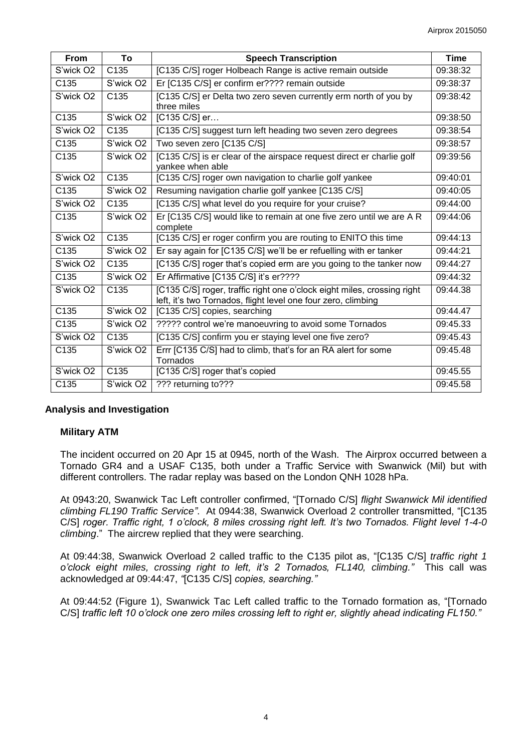| From                  | To                    | <b>Speech Transcription</b>                                                                                                              | <b>Time</b> |
|-----------------------|-----------------------|------------------------------------------------------------------------------------------------------------------------------------------|-------------|
| S'wick O <sub>2</sub> | C <sub>135</sub>      | [C135 C/S] roger Holbeach Range is active remain outside                                                                                 | 09:38:32    |
| C135                  | S'wick O <sub>2</sub> | Er [C135 C/S] er confirm er???? remain outside                                                                                           | 09:38:37    |
| S'wick O <sub>2</sub> | C135                  | [C135 C/S] er Delta two zero seven currently erm north of you by<br>three miles                                                          | 09:38:42    |
| C <sub>135</sub>      | S'wick O <sub>2</sub> | [C135 C/S] er                                                                                                                            | 09:38:50    |
| S'wick O <sub>2</sub> | C135                  | [C135 C/S] suggest turn left heading two seven zero degrees                                                                              | 09:38:54    |
| C135                  | S'wick O <sub>2</sub> | Two seven zero [C135 C/S]                                                                                                                | 09:38:57    |
| C135                  | S'wick O2             | [C135 C/S] is er clear of the airspace request direct er charlie golf<br>yankee when able                                                | 09:39:56    |
| S'wick O <sub>2</sub> | C <sub>135</sub>      | [C135 C/S] roger own navigation to charlie golf yankee                                                                                   | 09:40:01    |
| C135                  | S'wick O <sub>2</sub> | Resuming navigation charlie golf yankee [C135 C/S]                                                                                       | 09:40:05    |
| S'wick O <sub>2</sub> | C <sub>135</sub>      | [C135 C/S] what level do you require for your cruise?                                                                                    | 09:44:00    |
| C135                  | S'wick O <sub>2</sub> | Er [C135 C/S] would like to remain at one five zero until we are A R<br>complete                                                         | 09:44:06    |
| S'wick O <sub>2</sub> | C <sub>135</sub>      | [C135 C/S] er roger confirm you are routing to ENITO this time                                                                           | 09:44:13    |
| C135                  | S'wick O <sub>2</sub> | Er say again for [C135 C/S] we'll be er refuelling with er tanker                                                                        | 09:44:21    |
| S'wick O <sub>2</sub> | C135                  | [C135 C/S] roger that's copied erm are you going to the tanker now                                                                       | 09:44:27    |
| C135                  | S'wick O <sub>2</sub> | Er Affirmative [C135 C/S] it's er????                                                                                                    | 09:44:32    |
| S'wick O <sub>2</sub> | C <sub>135</sub>      | [C135 C/S] roger, traffic right one o'clock eight miles, crossing right<br>left, it's two Tornados, flight level one four zero, climbing | 09:44.38    |
| C135                  | S'wick O <sub>2</sub> | [C135 C/S] copies, searching                                                                                                             | 09:44.47    |
| C135                  | S'wick O <sub>2</sub> | ????? control we're manoeuvring to avoid some Tornados                                                                                   | 09:45.33    |
| S'wick O <sub>2</sub> | C <sub>135</sub>      | [C135 C/S] confirm you er staying level one five zero?                                                                                   | 09:45.43    |
| C135                  | S'wick O <sub>2</sub> | Errr [C135 C/S] had to climb, that's for an RA alert for some<br>Tornados                                                                | 09:45.48    |
| S'wick O <sub>2</sub> | C <sub>135</sub>      | [C135 C/S] roger that's copied                                                                                                           | 09:45.55    |
| C135                  | S'wick O <sub>2</sub> | ??? returning to???                                                                                                                      | 09:45.58    |

# **Analysis and Investigation**

# **Military ATM**

The incident occurred on 20 Apr 15 at 0945, north of the Wash. The Airprox occurred between a Tornado GR4 and a USAF C135, both under a Traffic Service with Swanwick (Mil) but with different controllers. The radar replay was based on the London QNH 1028 hPa.

At 0943:20, Swanwick Tac Left controller confirmed, "[Tornado C/S] *flight Swanwick Mil identified climbing FL190 Traffic Service"*.At 0944:38, Swanwick Overload 2 controller transmitted, "[C135 C/S] *roger. Traffic right, 1 o'clock, 8 miles crossing right left. It's two Tornados. Flight level 1-4-0 climbing*." The aircrew replied that they were searching.

At 09:44:38, Swanwick Overload 2 called traffic to the C135 pilot as, "[C135 C/S] *traffic right 1 o'clock eight miles, crossing right to left, it's 2 Tornados, FL140, climbing."* This call was acknowledged *at* 09:44:47, *"*[C135 C/S] *copies, searching."*

At 09:44:52 (Figure 1), Swanwick Tac Left called traffic to the Tornado formation as, "[Tornado C/S] *traffic left 10 o'clock one zero miles crossing left to right er, slightly ahead indicating FL150."*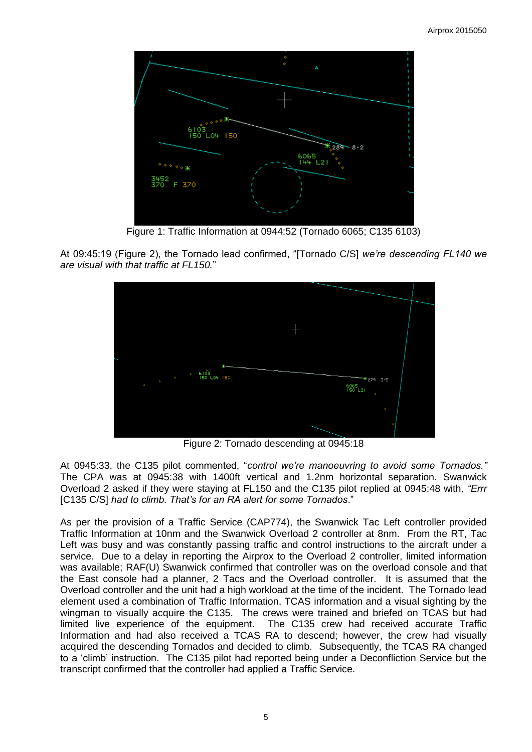

Figure 1: Traffic Information at 0944:52 (Tornado 6065; C135 6103)

At 09:45:19 (Figure 2), the Tornado lead confirmed, "[Tornado C/S] *we're descending FL140 we are visual with that traffic at FL150.*"



Figure 2: Tornado descending at 0945:18

At 0945:33, the C135 pilot commented, "*control we're manoeuvring to avoid some Tornados."*  The CPA was at 0945:38 with 1400ft vertical and 1.2nm horizontal separation. Swanwick Overload 2 asked if they were staying at FL150 and the C135 pilot replied at 0945:48 with*, "Errr*  [C135 C/S] *had to climb. That's for an RA alert for some Tornados*."

As per the provision of a Traffic Service (CAP774), the Swanwick Tac Left controller provided Traffic Information at 10nm and the Swanwick Overload 2 controller at 8nm. From the RT, Tac Left was busy and was constantly passing traffic and control instructions to the aircraft under a service. Due to a delay in reporting the Airprox to the Overload 2 controller, limited information was available; RAF(U) Swanwick confirmed that controller was on the overload console and that the East console had a planner, 2 Tacs and the Overload controller. It is assumed that the Overload controller and the unit had a high workload at the time of the incident. The Tornado lead element used a combination of Traffic Information, TCAS information and a visual sighting by the wingman to visually acquire the C135. The crews were trained and briefed on TCAS but had limited live experience of the equipment. The C135 crew had received accurate Traffic Information and had also received a TCAS RA to descend; however, the crew had visually acquired the descending Tornados and decided to climb. Subsequently, the TCAS RA changed to a 'climb' instruction. The C135 pilot had reported being under a Deconfliction Service but the transcript confirmed that the controller had applied a Traffic Service.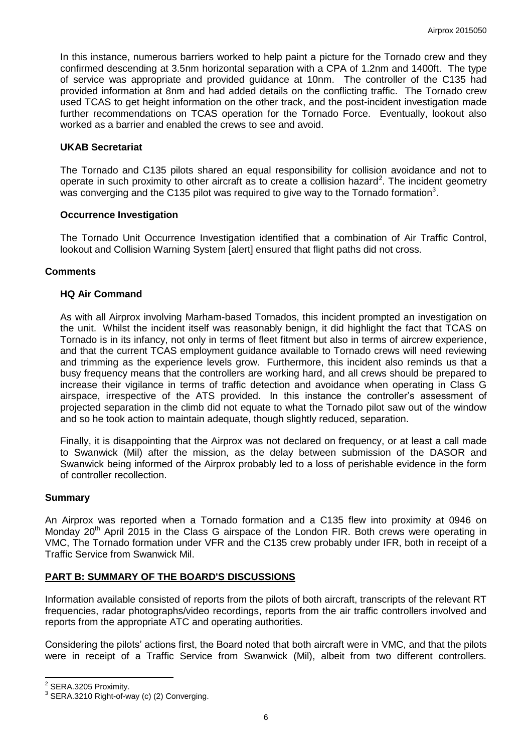In this instance, numerous barriers worked to help paint a picture for the Tornado crew and they confirmed descending at 3.5nm horizontal separation with a CPA of 1.2nm and 1400ft. The type of service was appropriate and provided guidance at 10nm. The controller of the C135 had provided information at 8nm and had added details on the conflicting traffic. The Tornado crew used TCAS to get height information on the other track, and the post-incident investigation made further recommendations on TCAS operation for the Tornado Force. Eventually, lookout also worked as a barrier and enabled the crews to see and avoid.

#### **UKAB Secretariat**

The Tornado and C135 pilots shared an equal responsibility for collision avoidance and not to operate in such proximity to other aircraft as to create a collision hazard<sup>2</sup>. The incident geometry was converging and the C135 pilot was required to give way to the Tornado formation<sup>3</sup>.

#### **Occurrence Investigation**

The Tornado Unit Occurrence Investigation identified that a combination of Air Traffic Control, lookout and Collision Warning System [alert] ensured that flight paths did not cross.

#### **Comments**

#### **HQ Air Command**

As with all Airprox involving Marham-based Tornados, this incident prompted an investigation on the unit. Whilst the incident itself was reasonably benign, it did highlight the fact that TCAS on Tornado is in its infancy, not only in terms of fleet fitment but also in terms of aircrew experience, and that the current TCAS employment guidance available to Tornado crews will need reviewing and trimming as the experience levels grow. Furthermore, this incident also reminds us that a busy frequency means that the controllers are working hard, and all crews should be prepared to increase their vigilance in terms of traffic detection and avoidance when operating in Class G airspace, irrespective of the ATS provided. In this instance the controller's assessment of projected separation in the climb did not equate to what the Tornado pilot saw out of the window and so he took action to maintain adequate, though slightly reduced, separation.

Finally, it is disappointing that the Airprox was not declared on frequency, or at least a call made to Swanwick (Mil) after the mission, as the delay between submission of the DASOR and Swanwick being informed of the Airprox probably led to a loss of perishable evidence in the form of controller recollection.

#### **Summary**

An Airprox was reported when a Tornado formation and a C135 flew into proximity at 0946 on Monday 20<sup>th</sup> April 2015 in the Class G airspace of the London FIR. Both crews were operating in VMC, The Tornado formation under VFR and the C135 crew probably under IFR, both in receipt of a Traffic Service from Swanwick Mil.

# **PART B: SUMMARY OF THE BOARD'S DISCUSSIONS**

Information available consisted of reports from the pilots of both aircraft, transcripts of the relevant RT frequencies, radar photographs/video recordings, reports from the air traffic controllers involved and reports from the appropriate ATC and operating authorities.

Considering the pilots' actions first, the Board noted that both aircraft were in VMC, and that the pilots were in receipt of a Traffic Service from Swanwick (Mil), albeit from two different controllers.

 2 SERA.3205 Proximity.

<sup>&</sup>lt;sup>3</sup> SERA.3210 Right-of-way (c) (2) Converging.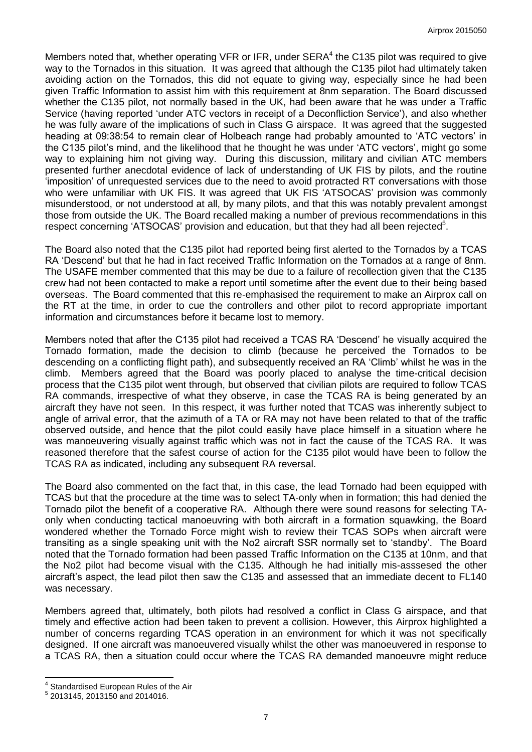Members noted that, whether operating VFR or IFR, under  $SERA<sup>4</sup>$  the C135 pilot was required to give way to the Tornados in this situation. It was agreed that although the C135 pilot had ultimately taken avoiding action on the Tornados, this did not equate to giving way, especially since he had been given Traffic Information to assist him with this requirement at 8nm separation. The Board discussed whether the C135 pilot, not normally based in the UK, had been aware that he was under a Traffic Service (having reported 'under ATC vectors in receipt of a Deconfliction Service'), and also whether he was fully aware of the implications of such in Class G airspace. It was agreed that the suggested heading at 09:38:54 to remain clear of Holbeach range had probably amounted to 'ATC vectors' in the C135 pilot's mind, and the likelihood that he thought he was under 'ATC vectors', might go some way to explaining him not giving way. During this discussion, military and civilian ATC members presented further anecdotal evidence of lack of understanding of UK FIS by pilots, and the routine 'imposition' of unrequested services due to the need to avoid protracted RT conversations with those who were unfamiliar with UK FIS. It was agreed that UK FIS 'ATSOCAS' provision was commonly misunderstood, or not understood at all, by many pilots, and that this was notably prevalent amongst those from outside the UK. The Board recalled making a number of previous recommendations in this respect concerning 'ATSOCAS' provision and education, but that they had all been rejected<sup>5</sup>.

The Board also noted that the C135 pilot had reported being first alerted to the Tornados by a TCAS RA 'Descend' but that he had in fact received Traffic Information on the Tornados at a range of 8nm. The USAFE member commented that this may be due to a failure of recollection given that the C135 crew had not been contacted to make a report until sometime after the event due to their being based overseas. The Board commented that this re-emphasised the requirement to make an Airprox call on the RT at the time, in order to cue the controllers and other pilot to record appropriate important information and circumstances before it became lost to memory.

Members noted that after the C135 pilot had received a TCAS RA 'Descend' he visually acquired the Tornado formation, made the decision to climb (because he perceived the Tornados to be descending on a conflicting flight path), and subsequently received an RA 'Climb' whilst he was in the climb. Members agreed that the Board was poorly placed to analyse the time-critical decision process that the C135 pilot went through, but observed that civilian pilots are required to follow TCAS RA commands, irrespective of what they observe, in case the TCAS RA is being generated by an aircraft they have not seen. In this respect, it was further noted that TCAS was inherently subject to angle of arrival error, that the azimuth of a TA or RA may not have been related to that of the traffic observed outside, and hence that the pilot could easily have place himself in a situation where he was manoeuvering visually against traffic which was not in fact the cause of the TCAS RA. It was reasoned therefore that the safest course of action for the C135 pilot would have been to follow the TCAS RA as indicated, including any subsequent RA reversal.

The Board also commented on the fact that, in this case, the lead Tornado had been equipped with TCAS but that the procedure at the time was to select TA-only when in formation; this had denied the Tornado pilot the benefit of a cooperative RA. Although there were sound reasons for selecting TAonly when conducting tactical manoeuvring with both aircraft in a formation squawking, the Board wondered whether the Tornado Force might wish to review their TCAS SOPs when aircraft were transiting as a single speaking unit with the No2 aircraft SSR normally set to 'standby'. The Board noted that the Tornado formation had been passed Traffic Information on the C135 at 10nm, and that the No2 pilot had become visual with the C135. Although he had initially mis-asssesed the other aircraft's aspect, the lead pilot then saw the C135 and assessed that an immediate decent to FL140 was necessary.

Members agreed that, ultimately, both pilots had resolved a conflict in Class G airspace, and that timely and effective action had been taken to prevent a collision. However, this Airprox highlighted a number of concerns regarding TCAS operation in an environment for which it was not specifically designed. If one aircraft was manoeuvered visually whilst the other was manoeuvered in response to a TCAS RA, then a situation could occur where the TCAS RA demanded manoeuvre might reduce

 $\overline{\phantom{a}}$ 

<sup>4</sup> Standardised European Rules of the Air

<sup>5</sup> 2013145, 2013150 and 2014016.